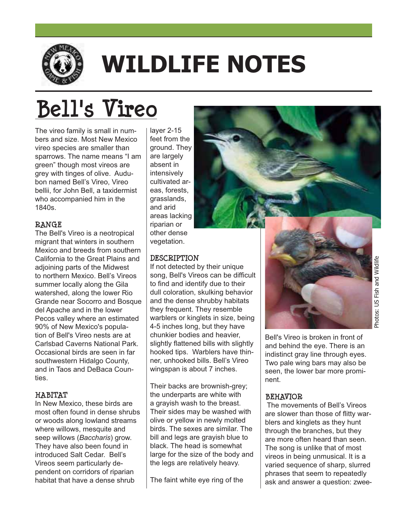

# **WILDLIFE NOTES**

## **Bell's Vireo**

The vireo family is small in numbers and size. Most New Mexico vireo species are smaller than sparrows. The name means "I am green" though most vireos are grey with tinges of olive. Audubon named Bell's Vireo, Vireo bellii, for John Bell, a taxidermist who accompanied him in the 1840s.

### **RANGE**

The Bell's Vireo is a neotropical migrant that winters in southern Mexico and breeds from southern California to the Great Plains and adjoining parts of the Midwest to northern Mexico. Bell's Vireos summer locally along the Gila watershed, along the lower Rio Grande near Socorro and Bosque del Apache and in the lower Pecos valley where an estimated 90% of New Mexico's population of Bell's Vireo nests are at Carlsbad Caverns National Park. Occasional birds are seen in far southwestern Hidalgo County, and in Taos and DeBaca Counties.

#### **HABITAT**

In New Mexico, these birds are most often found in dense shrubs or woods along lowland streams where willows, mesquite and seep willows (*Baccharis*) grow. They have also been found in introduced Salt Cedar. Bell's Vireos seem particularly dependent on corridors of riparian habitat that have a dense shrub

layer 2-15 feet from the ground. They are largely absent in intensively cultivated areas, forests, grasslands, and arid areas lacking riparian or other dense vegetation.

### **DESCRIPTION**

If not detected by their unique song, Bell's Vireos can be difficult to find and identify due to their dull coloration, skulking behavior and the dense shrubby habitats they frequent. They resemble warblers or kinglets in size, being 4-5 inches long, but they have chunkier bodies and heavier, slightly flattened bills with slightly hooked tips. Warblers have thinner, unhooked bills. Bell's Vireo wingspan is about 7 inches.

Their backs are brownish-grey; the underparts are white with a grayish wash to the breast. Their sides may be washed with olive or yellow in newly molted birds. The sexes are similar. The bill and legs are grayish blue to black. The head is somewhat large for the size of the body and the legs are relatively heavy.

The faint white eye ring of the



Bell's Vireo is broken in front of and behind the eye. There is an indistinct gray line through eyes. Two pale wing bars may also be seen, the lower bar more prominent.

### **BEHAVIOR**

 The movements of Bell's Vireos are slower than those of flitty warblers and kinglets as they hunt through the branches, but they are more often heard than seen. The song is unlike that of most vireos in being unmusical. It is a varied sequence of sharp, slurred phrases that seem to repeatedly ask and answer a question: zwee